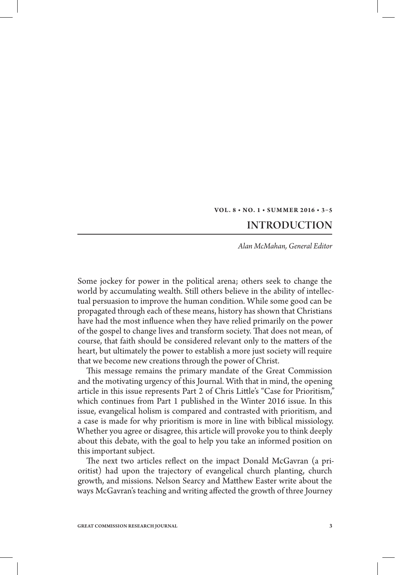## VOL. 8 · NO. 1 · SUMMER 2016 · 3-5

## **INTRODUCTION**

*Alan McMahan, General Editor*

Some jockey for power in the political arena; others seek to change the world by accumulating wealth. Still others believe in the ability of intellectual persuasion to improve the human condition. While some good can be propagated through each of these means, history has shown that Christians have had the most influence when they have relied primarily on the power of the gospel to change lives and transform society. That does not mean, of course, that faith should be considered relevant only to the matters of the heart, but ultimately the power to establish a more just society will require that we become new creations through the power of Christ.

This message remains the primary mandate of the Great Commission and the motivating urgency of this Journal. With that in mind, the opening article in this issue represents Part 2 of Chris Little's "Case for Prioritism," which continues from Part 1 published in the Winter 2016 issue. In this issue, evangelical holism is compared and contrasted with prioritism, and a case is made for why prioritism is more in line with biblical missiology. Whether you agree or disagree, this article will provoke you to think deeply about this debate, with the goal to help you take an informed position on this important subject.

The next two articles reflect on the impact Donald McGavran (a prioritist) had upon the trajectory of evangelical church planting, church growth, and missions. Nelson Searcy and Matthew Easter write about the ways McGavran's teaching and writing affected the growth of three Journey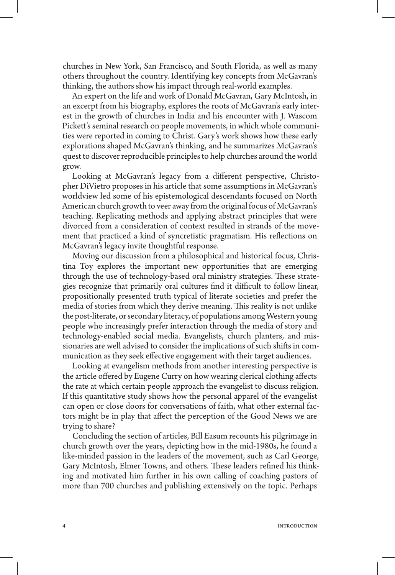churches in New York, San Francisco, and South Florida, as well as many others throughout the country. Identifying key concepts from McGavran's thinking, the authors show his impact through real-world examples.

An expert on the life and work of Donald McGavran, Gary McIntosh, in an excerpt from his biography, explores the roots of McGavran's early interest in the growth of churches in India and his encounter with J. Wascom Pickett's seminal research on people movements, in which whole communities were reported in coming to Christ. Gary's work shows how these early explorations shaped McGavran's thinking, and he summarizes McGavran's quest to discover reproducible principles to help churches around the world grow.

Looking at McGavran's legacy from a different perspective, Christopher DiVietro proposes in his article that some assumptions in McGavran's worldview led some of his epistemological descendants focused on North American church growth to veer away from the original focus of McGavran's teaching. Replicating methods and applying abstract principles that were divorced from a consideration of context resulted in strands of the movement that practiced a kind of syncretistic pragmatism. His reflections on McGavran's legacy invite thoughtful response.

Moving our discussion from a philosophical and historical focus, Christina Toy explores the important new opportunities that are emerging through the use of technology-based oral ministry strategies. These strategies recognize that primarily oral cultures find it difficult to follow linear, propositionally presented truth typical of literate societies and prefer the media of stories from which they derive meaning. This reality is not unlike the post-literate, or secondary literacy, of populations among Western young people who increasingly prefer interaction through the media of story and technology-enabled social media. Evangelists, church planters, and missionaries are well advised to consider the implications of such shifts in communication as they seek effective engagement with their target audiences.

Looking at evangelism methods from another interesting perspective is the article offered by Eugene Curry on how wearing clerical clothing affects the rate at which certain people approach the evangelist to discuss religion. If this quantitative study shows how the personal apparel of the evangelist can open or close doors for conversations of faith, what other external factors might be in play that affect the perception of the Good News we are trying to share?

Concluding the section of articles, Bill Easum recounts his pilgrimage in church growth over the years, depicting how in the mid-1980s, he found a like-minded passion in the leaders of the movement, such as Carl George, Gary McIntosh, Elmer Towns, and others. These leaders refined his thinking and motivated him further in his own calling of coaching pastors of more than 700 churches and publishing extensively on the topic. Perhaps